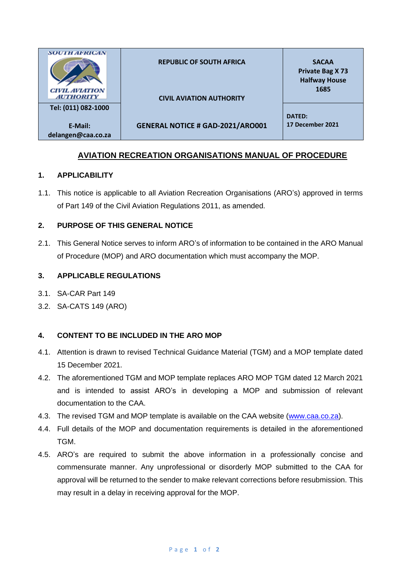| <b>SOUTH AFRICAN</b>                      | <b>REPUBLIC OF SOUTH AFRICA</b>         | <b>SACAA</b><br><b>Private Bag X73</b><br><b>Halfway House</b> |
|-------------------------------------------|-----------------------------------------|----------------------------------------------------------------|
| <b>CIVIL AVIATION</b><br><b>AUTHORITY</b> | <b>CIVIL AVIATION AUTHORITY</b>         | 1685                                                           |
| Tel: (011) 082-1000                       |                                         | <b>DATED:</b>                                                  |
| E-Mail:<br>delangen@caa.co.za             | <b>GENERAL NOTICE # GAD-2021/ARO001</b> | 17 December 2021                                               |

# **AVIATION RECREATION ORGANISATIONS MANUAL OF PROCEDURE**

## **1. APPLICABILITY**

1.1. This notice is applicable to all Aviation Recreation Organisations (ARO's) approved in terms of Part 149 of the Civil Aviation Regulations 2011, as amended.

### **2. PURPOSE OF THIS GENERAL NOTICE**

2.1. This General Notice serves to inform ARO's of information to be contained in the ARO Manual of Procedure (MOP) and ARO documentation which must accompany the MOP.

### **3. APPLICABLE REGULATIONS**

- 3.1. SA-CAR Part 149
- 3.2. SA-CATS 149 (ARO)

#### **4. CONTENT TO BE INCLUDED IN THE ARO MOP**

- 4.1. Attention is drawn to revised Technical Guidance Material (TGM) and a MOP template dated 15 December 2021.
- 4.2. The aforementioned TGM and MOP template replaces ARO MOP TGM dated 12 March 2021 and is intended to assist ARO's in developing a MOP and submission of relevant documentation to the CAA.
- 4.3. The revised TGM and MOP template is available on the CAA website [\(www.caa.co.za\)](http://www.caa.co.za/).
- 4.4. Full details of the MOP and documentation requirements is detailed in the aforementioned TGM.
- 4.5. ARO's are required to submit the above information in a professionally concise and commensurate manner. Any unprofessional or disorderly MOP submitted to the CAA for approval will be returned to the sender to make relevant corrections before resubmission. This may result in a delay in receiving approval for the MOP.

#### P a g e **1** o f **2**